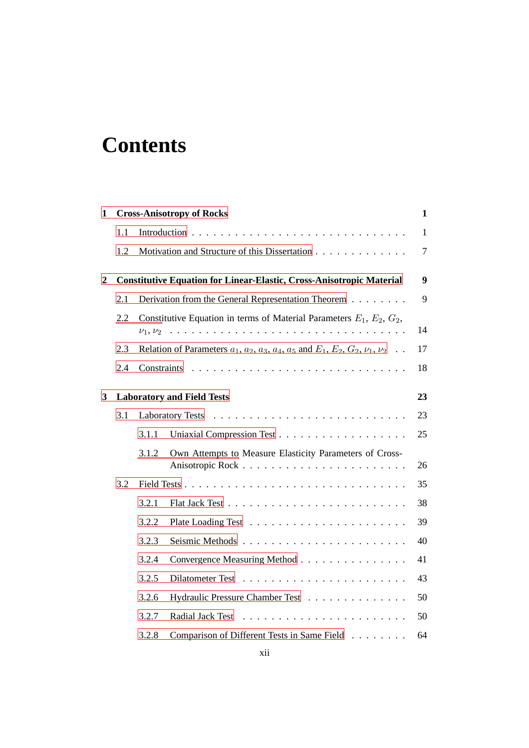## **Contents**

| 1                       | <b>Cross-Anisotropy of Rocks</b> |                                                                                                                                                                                                                                                                                                                                                                                                                                                                                                                                                             |                                                         | 1            |  |  |
|-------------------------|----------------------------------|-------------------------------------------------------------------------------------------------------------------------------------------------------------------------------------------------------------------------------------------------------------------------------------------------------------------------------------------------------------------------------------------------------------------------------------------------------------------------------------------------------------------------------------------------------------|---------------------------------------------------------|--------------|--|--|
|                         | 1.1                              |                                                                                                                                                                                                                                                                                                                                                                                                                                                                                                                                                             |                                                         | $\mathbf{1}$ |  |  |
|                         | 1.2                              |                                                                                                                                                                                                                                                                                                                                                                                                                                                                                                                                                             | Motivation and Structure of this Dissertation           | $\tau$       |  |  |
| $\overline{\mathbf{c}}$ |                                  | <b>Constitutive Equation for Linear-Elastic, Cross-Anisotropic Material</b>                                                                                                                                                                                                                                                                                                                                                                                                                                                                                 |                                                         |              |  |  |
|                         | 2.1                              |                                                                                                                                                                                                                                                                                                                                                                                                                                                                                                                                                             | Derivation from the General Representation Theorem      | 9            |  |  |
|                         | 2.2                              | Constitutive Equation in terms of Material Parameters $E_1, E_2, G_2$ ,<br>.<br>$\nu_1, \nu_2$<br>$\mathcal{L}^{\mathcal{A}}(\mathcal{A}^{\mathcal{A}}(\mathcal{A}^{\mathcal{A}}(\mathcal{A}^{\mathcal{A}}(\mathcal{A}^{\mathcal{A}}(\mathcal{A}^{\mathcal{A}}(\mathcal{A}^{\mathcal{A}}(\mathcal{A}^{\mathcal{A}}(\mathcal{A}^{\mathcal{A}}(\mathcal{A}^{\mathcal{A}}(\mathcal{A}^{\mathcal{A}}(\mathcal{A}^{\mathcal{A}}(\mathcal{A}^{\mathcal{A}}(\mathcal{A}^{\mathcal{A}}(\mathcal{A}^{\mathcal{A}}(\mathcal{A}^{\mathcal{A}}(\mathcal{A}^{\mathcal{A$ |                                                         |              |  |  |
|                         | 2.3                              | Relation of Parameters $a_1$ , $a_2$ , $a_3$ , $a_4$ , $a_5$ and $E_1$ , $E_2$ , $G_2$ , $\nu_1$ , $\nu_2$                                                                                                                                                                                                                                                                                                                                                                                                                                                  |                                                         |              |  |  |
|                         | 2.4                              | Constraints                                                                                                                                                                                                                                                                                                                                                                                                                                                                                                                                                 |                                                         |              |  |  |
| 3                       |                                  |                                                                                                                                                                                                                                                                                                                                                                                                                                                                                                                                                             | <b>Laboratory and Field Tests</b>                       | 23           |  |  |
|                         | 3.1<br><b>Laboratory Tests</b>   |                                                                                                                                                                                                                                                                                                                                                                                                                                                                                                                                                             |                                                         |              |  |  |
|                         |                                  | 3.1.1                                                                                                                                                                                                                                                                                                                                                                                                                                                                                                                                                       |                                                         | 23<br>25     |  |  |
|                         |                                  | 3.1.2                                                                                                                                                                                                                                                                                                                                                                                                                                                                                                                                                       | Own Attempts to Measure Elasticity Parameters of Cross- | 26           |  |  |
|                         | 3.2                              |                                                                                                                                                                                                                                                                                                                                                                                                                                                                                                                                                             |                                                         | 35           |  |  |
|                         |                                  | 3.2.1                                                                                                                                                                                                                                                                                                                                                                                                                                                                                                                                                       |                                                         | 38           |  |  |
|                         |                                  | 3.2.2                                                                                                                                                                                                                                                                                                                                                                                                                                                                                                                                                       |                                                         | 39           |  |  |
|                         |                                  | 3.2.3                                                                                                                                                                                                                                                                                                                                                                                                                                                                                                                                                       |                                                         | 40           |  |  |
|                         |                                  | 3.2.4                                                                                                                                                                                                                                                                                                                                                                                                                                                                                                                                                       | Convergence Measuring Method                            | 41           |  |  |
|                         |                                  | 3.2.5                                                                                                                                                                                                                                                                                                                                                                                                                                                                                                                                                       |                                                         | 43           |  |  |
|                         |                                  | 3.2.6                                                                                                                                                                                                                                                                                                                                                                                                                                                                                                                                                       | Hydraulic Pressure Chamber Test                         | 50           |  |  |
|                         |                                  | 3.2.7                                                                                                                                                                                                                                                                                                                                                                                                                                                                                                                                                       |                                                         | 50           |  |  |
|                         |                                  | 3.2.8                                                                                                                                                                                                                                                                                                                                                                                                                                                                                                                                                       | Comparison of Different Tests in Same Field             | 64           |  |  |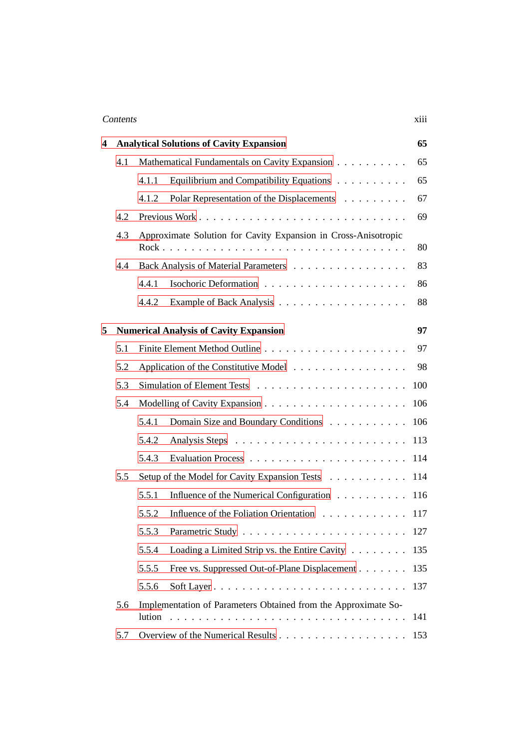## Contents xiii

| 4 | <b>Analytical Solutions of Cavity Expansion</b>      |                                                                |                                               |     |  |
|---|------------------------------------------------------|----------------------------------------------------------------|-----------------------------------------------|-----|--|
|   | 4.1<br>Mathematical Fundamentals on Cavity Expansion |                                                                |                                               | 65  |  |
|   |                                                      | 4.1.1                                                          | Equilibrium and Compatibility Equations       | 65  |  |
|   |                                                      | 4.1.2                                                          | Polar Representation of the Displacements     | 67  |  |
|   | 4.2                                                  |                                                                |                                               |     |  |
|   | 4.3                                                  | Approximate Solution for Cavity Expansion in Cross-Anisotropic |                                               |     |  |
|   | 4.4                                                  | Back Analysis of Material Parameters                           |                                               |     |  |
|   |                                                      | 4.4.1                                                          |                                               | 86  |  |
|   |                                                      | 4.4.2                                                          |                                               | 88  |  |
| 5 |                                                      |                                                                | <b>Numerical Analysis of Cavity Expansion</b> | 97  |  |
|   | 5.1                                                  |                                                                |                                               | 97  |  |
|   | 5.2                                                  | Application of the Constitutive Model                          |                                               |     |  |
|   | 5.3                                                  |                                                                |                                               |     |  |
|   | 5.4                                                  |                                                                |                                               |     |  |
|   |                                                      | 5.4.1                                                          | Domain Size and Boundary Conditions           | 106 |  |
|   |                                                      | 5.4.2                                                          |                                               | 113 |  |
|   |                                                      | 5.4.3                                                          |                                               | 114 |  |
|   | 5.5                                                  | Setup of the Model for Cavity Expansion Tests                  | 114                                           |     |  |
|   |                                                      | 5.5.1                                                          | Influence of the Numerical Configuration      | 116 |  |
|   |                                                      | 5.5.2                                                          | Influence of the Foliation Orientation        | 117 |  |
|   |                                                      | 5.5.3                                                          | Parametric Study.                             | 127 |  |
|   |                                                      | 5.5.4                                                          | Loading a Limited Strip vs. the Entire Cavity | 135 |  |
|   |                                                      | 5.5.5                                                          | Free vs. Suppressed Out-of-Plane Displacement | 135 |  |
|   |                                                      | 5.5.6                                                          |                                               | 137 |  |
|   | 5.6                                                  | Implementation of Parameters Obtained from the Approximate So- | 141                                           |     |  |
|   | 5.7                                                  |                                                                |                                               |     |  |